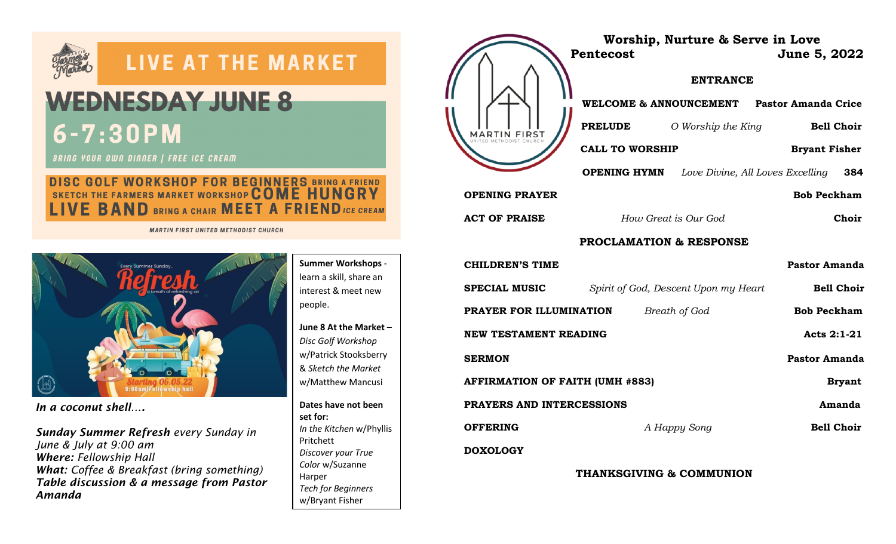

# **LIVE AT THE MARKET**

# **WEDNESDAY JUNE 8**  $6 - 7:30$  PM

**BRING YOUR OWN DINNER | FREE ICE CREAM** 

# **DISC GOLF WORKSHOP FOR BEGINNERS BRING A FRIEND<br>SKETCH THE FARMERS MARKET WORKSHOP COME HUNGRY** E BAND BRING A CHAIR MEET A FRIEND ICE CREAM

**MARTIN FIRST UNITED METHODIST CHURCH** 



*In a coconut shell….*

*Sunday Summer Refresh every Sunday in June & July at 9:00 am Where: Fellowship Hall What: Coffee & Breakfast (bring something) Table discussion & a message from Pastor Amanda* 

**Summer Workshops** learn a skill, share an interest & meet new people.

**June 8 At the Market** – *Disc Golf Workshop* w/Patrick Stooksberry & *Sketch the Market* w/Matthew Mancusi

**Dates have not been set for:** *In the Kitchen* w/Phyllis Pritchett *Discover your True Color* w/Suzanne Harper *Tech for Beginners* w/Bryant Fisher

*Dreams* w/ Pastor

|                                        | Worship, Nurture & Serve in Love<br>Pentecost        | June 5, 2022         |
|----------------------------------------|------------------------------------------------------|----------------------|
|                                        | <b>ENTRANCE</b>                                      |                      |
| MARTIN FIRST                           | WELCOME & ANNOUNCEMENT Pastor Amanda Crice           |                      |
|                                        | <b>PRELUDE</b><br>O Worship the King                 | <b>Bell Choir</b>    |
|                                        | <b>CALL TO WORSHIP</b>                               | <b>Bryant Fisher</b> |
|                                        | <b>OPENING HYMN</b> Love Divine, All Loves Excelling | 384                  |
| <b>OPENING PRAYER</b>                  |                                                      | <b>Bob Peckham</b>   |
| <b>ACT OF PRAISE</b>                   | How Great is Our God                                 | Choir                |
| <b>PROCLAMATION &amp; RESPONSE</b>     |                                                      |                      |
| <b>CHILDREN'S TIME</b>                 |                                                      | <b>Pastor Amanda</b> |
| SPECIAL MUSIC                          | Spirit of God, Descent Upon my Heart                 | <b>Bell Choir</b>    |
| PRAYER FOR ILLUMINATION                | Breath of God                                        | <b>Bob Peckham</b>   |
| <b>NEW TESTAMENT READING</b>           |                                                      | Acts 2:1-21          |
| <b>SERMON</b>                          |                                                      | <b>Pastor Amanda</b> |
| <b>AFFIRMATION OF FAITH (UMH #883)</b> |                                                      | <b>Bryant</b>        |
| PRAYERS AND INTERCESSIONS<br>Amanda    |                                                      |                      |
| <b>OFFERING</b>                        | A Happy Song                                         | <b>Bell Choir</b>    |
| <b>DOXOLOGY</b>                        |                                                      |                      |

**THANKSGIVING & COMMUNION**